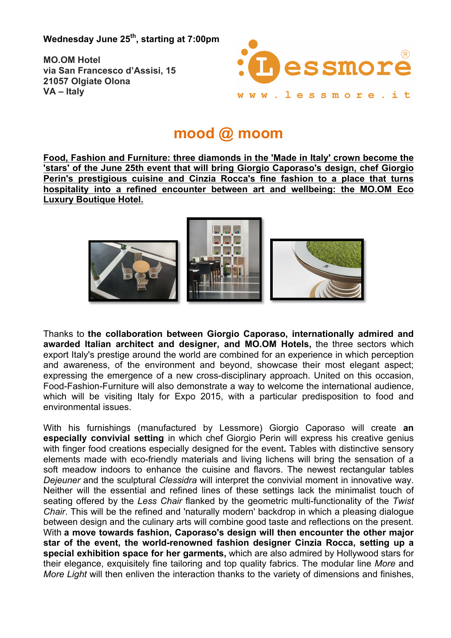**Wednesday June 25th, starting at 7:00pm**

**MO.OM Hotel via San Francesco d'Assisi, 15 21057 Olgiate Olona VA – Italy**



## **mood @ moom**

**Food, Fashion and Furniture: three diamonds in the 'Made in Italy' crown become the 'stars' of the June 25th event that will bring Giorgio Caporaso's design, chef Giorgio Perin's prestigious cuisine and Cinzia Rocca's fine fashion to a place that turns hospitality into a refined encounter between art and wellbeing: the MO.OM Eco Luxury Boutique Hotel.** 



Thanks to **the collaboration between Giorgio Caporaso, internationally admired and awarded Italian architect and designer, and MO.OM Hotels,** the three sectors which export Italy's prestige around the world are combined for an experience in which perception and awareness, of the environment and beyond, showcase their most elegant aspect; expressing the emergence of a new cross-disciplinary approach. United on this occasion, Food-Fashion-Furniture will also demonstrate a way to welcome the international audience, which will be visiting Italy for Expo 2015, with a particular predisposition to food and environmental issues.

With his furnishings (manufactured by Lessmore) Giorgio Caporaso will create **an especially convivial setting** in which chef Giorgio Perin will express his creative genius with finger food creations especially designed for the event**.** Tables with distinctive sensory elements made with eco-friendly materials and living lichens will bring the sensation of a soft meadow indoors to enhance the cuisine and flavors. The newest rectangular tables *Dejeuner* and the sculptural *Clessidra* will interpret the convivial moment in innovative way. Neither will the essential and refined lines of these settings lack the minimalist touch of seating offered by the *Less Chair* flanked by the geometric multi-functionality of the *Twist Chair*. This will be the refined and 'naturally modern' backdrop in which a pleasing dialogue between design and the culinary arts will combine good taste and reflections on the present. With **a move towards fashion, Caporaso's design will then encounter the other major star of the event, the world-renowned fashion designer Cinzia Rocca, setting up a special exhibition space for her garments,** which are also admired by Hollywood stars for their elegance, exquisitely fine tailoring and top quality fabrics. The modular line *More* and *More Light* will then enliven the interaction thanks to the variety of dimensions and finishes,